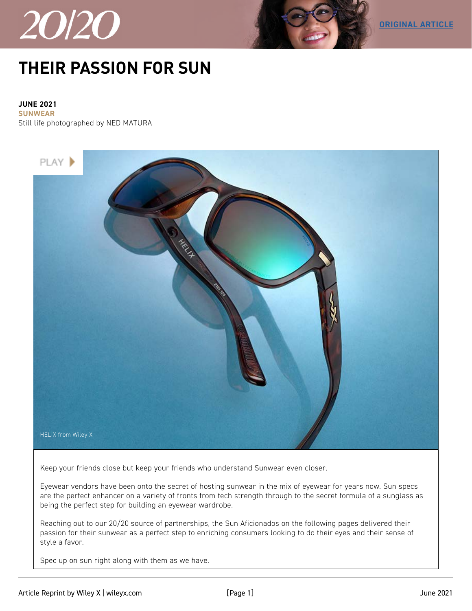



## **[THEIR PASSION FOR SUN](https://www.2020mag.com/article/their-passion-for-sun-partnership)**

**JUNE 2021 SUNWEAR**

Still life photographed by NED MATURA



Keep your friends close but keep your friends who understand Sunwear even closer.

Eyewear vendors have been onto the secret of hosting sunwear in the mix of eyewear for years now. Sun specs are the perfect enhancer on a variety of fronts from tech strength through to the secret formula of a sunglass as being the perfect step for building an eyewear wardrobe.

Reaching out to our 20/20 source of partnerships, the Sun Aficionados on the following pages delivered their passion for their sunwear as a perfect step to enriching consumers looking to do their eyes and their sense of style a favor.

Spec up on sun right along with them as we have.